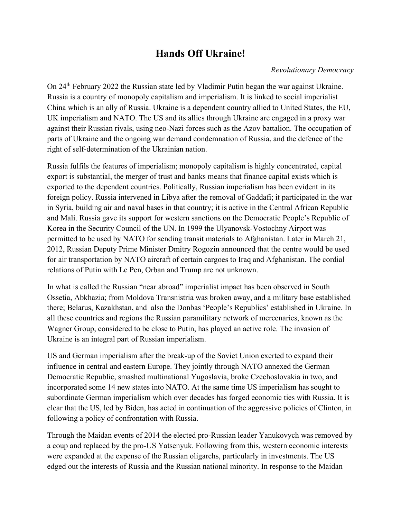# **Hands Off Ukraine!**

## *Revolutionary Democracy*

On 24th February 2022 the Russian state led by Vladimir Putin began the war against Ukraine. Russia is a country of monopoly capitalism and imperialism. It is linked to social imperialist China which is an ally of Russia. Ukraine is a dependent country allied to United States, the EU, UK imperialism and NATO. The US and its allies through Ukraine are engaged in a proxy war against their Russian rivals, using neo-Nazi forces such as the Azov battalion. The occupation of parts of Ukraine and the ongoing war demand condemnation of Russia, and the defence of the right of self-determination of the Ukrainian nation.

Russia fulfils the features of imperialism; monopoly capitalism is highly concentrated, capital export is substantial, the merger of trust and banks means that finance capital exists which is exported to the dependent countries. Politically, Russian imperialism has been evident in its foreign policy. Russia intervened in Libya after the removal of Gaddafi; it participated in the war in Syria, building air and naval bases in that country; it is active in the Central African Republic and Mali. Russia gave its support for western sanctions on the Democratic People's Republic of Korea in the Security Council of the UN. In 1999 the Ulyanovsk-Vostochny Airport was permitted to be used by NATO for sending transit materials to Afghanistan. Later in March 21, 2012, Russian Deputy Prime Minister Dmitry Rogozin announced that the centre would be used for air transportation by NATO aircraft of certain cargoes to Iraq and Afghanistan. The cordial relations of Putin with Le Pen, Orban and Trump are not unknown.

In what is called the Russian "near abroad" imperialist impact has been observed in South Ossetia, Abkhazia; from Moldova Transnistria was broken away, and a military base established there; Belarus, Kazakhstan, and also the Donbas 'People's Republics' established in Ukraine. In all these countries and regions the Russian paramilitary network of mercenaries, known as the Wagner Group, considered to be close to Putin, has played an active role. The invasion of Ukraine is an integral part of Russian imperialism.

US and German imperialism after the break-up of the Soviet Union exerted to expand their influence in central and eastern Europe. They jointly through NATO annexed the German Democratic Republic, smashed multinational Yugoslavia, broke Czechoslovakia in two, and incorporated some 14 new states into NATO. At the same time US imperialism has sought to subordinate German imperialism which over decades has forged economic ties with Russia. It is clear that the US, led by Biden, has acted in continuation of the aggressive policies of Clinton, in following a policy of confrontation with Russia.

Through the Maidan events of 2014 the elected pro-Russian leader Yanukovych was removed by a coup and replaced by the pro-US Yatsenyuk. Following from this, western economic interests were expanded at the expense of the Russian oligarchs, particularly in investments. The US edged out the interests of Russia and the Russian national minority. In response to the Maidan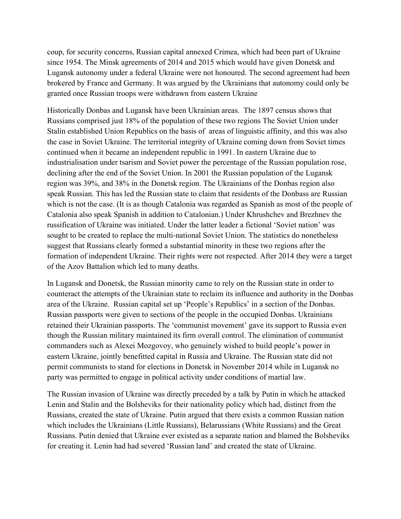coup, for security concerns, Russian capital annexed Crimea, which had been part of Ukraine since 1954. The Minsk agreements of 2014 and 2015 which would have given Donetsk and Lugansk autonomy under a federal Ukraine were not honoured. The second agreement had been brokered by France and Germany. It was argued by the Ukrainians that autonomy could only be granted once Russian troops were withdrawn from eastern Ukraine

Historically Donbas and Lugansk have been Ukrainian areas. The 1897 census shows that Russians comprised just 18% of the population of these two regions The Soviet Union under Stalin established Union Republics on the basis of areas of linguistic affinity, and this was also the case in Soviet Ukraine. The territorial integrity of Ukraine coming down from Soviet times continued when it became an independent republic in 1991. In eastern Ukraine due to industrialisation under tsarism and Soviet power the percentage of the Russian population rose, declining after the end of the Soviet Union. In 2001 the Russian population of the Lugansk region was 39%, and 38% in the Donetsk region. The Ukrainians of the Donbas region also speak Russian. This has led the Russian state to claim that residents of the Donbass are Russian which is not the case. (It is as though Catalonia was regarded as Spanish as most of the people of Catalonia also speak Spanish in addition to Catalonian.) Under Khrushchev and Brezhnev the russification of Ukraine was initiated. Under the latter leader a fictional 'Soviet nation' was sought to be created to replace the multi-national Soviet Union. The statistics do nonetheless suggest that Russians clearly formed a substantial minority in these two regions after the formation of independent Ukraine. Their rights were not respected. After 2014 they were a target of the Azov Battalion which led to many deaths.

In Lugansk and Donetsk, the Russian minority came to rely on the Russian state in order to counteract the attempts of the Ukrainian state to reclaim its influence and authority in the Donbas area of the Ukraine. Russian capital set up 'People's Republics' in a section of the Donbas. Russian passports were given to sections of the people in the occupied Donbas. Ukrainians retained their Ukrainian passports. The 'communist movement' gave its support to Russia even though the Russian military maintained its firm overall control. The elimination of communist commanders such as Alexei Mozgovoy, who genuinely wished to build people's power in eastern Ukraine, jointly benefitted capital in Russia and Ukraine. The Russian state did not permit communists to stand for elections in Donetsk in November 2014 while in Lugansk no party was permitted to engage in political activity under conditions of martial law.

The Russian invasion of Ukraine was directly preceded by a talk by Putin in which he attacked Lenin and Stalin and the Bolsheviks for their nationality policy which had, distinct from the Russians, created the state of Ukraine. Putin argued that there exists a common Russian nation which includes the Ukrainians (Little Russians), Belarussians (White Russians) and the Great Russians. Putin denied that Ukraine ever existed as a separate nation and blamed the Bolsheviks for creating it. Lenin had had severed 'Russian land' and created the state of Ukraine.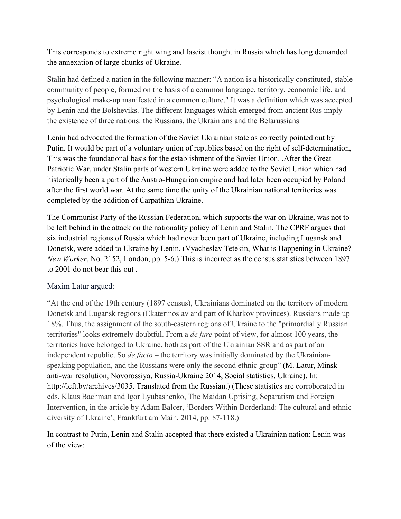This corresponds to extreme right wing and fascist thought in Russia which has long demanded the annexation of large chunks of Ukraine.

Stalin had defined a nation in the following manner: "A nation is a historically constituted, stable community of people, formed on the basis of a common language, territory, economic life, and psychological make-up manifested in a common culture." It was a definition which was accepted by Lenin and the Bolsheviks. The different languages which emerged from ancient Rus imply the existence of three nations: the Russians, the Ukrainians and the Belarussians

Lenin had advocated the formation of the Soviet Ukrainian state as correctly pointed out by Putin. It would be part of a voluntary union of republics based on the right of self-determination, This was the foundational basis for the establishment of the Soviet Union. .After the Great Patriotic War, under Stalin parts of western Ukraine were added to the Soviet Union which had historically been a part of the Austro-Hungarian empire and had later been occupied by Poland after the first world war. At the same time the unity of the Ukrainian national territories was completed by the addition of Carpathian Ukraine.

The Communist Party of the Russian Federation, which supports the war on Ukraine, was not to be left behind in the attack on the nationality policy of Lenin and Stalin. The CPRF argues that six industrial regions of Russia which had never been part of Ukraine, including Lugansk and Donetsk, were added to Ukraine by Lenin. (Vyacheslav Tetekin, What is Happening in Ukraine? *New Worker*, No. 2152, London, pp. 5-6.) This is incorrect as the census statistics between 1897 to 2001 do not bear this out .

## Maxim Latur argued:

"At the end of the 19th century (1897 census), Ukrainians dominated on the territory of modern Donetsk and Lugansk regions (Ekaterinoslav and part of Kharkov provinces). Russians made up 18%. Thus, the assignment of the south-eastern regions of Ukraine to the "primordially Russian territories" looks extremely doubtful. From a *de jure* point of view, for almost 100 years, the territories have belonged to Ukraine, both as part of the Ukrainian SSR and as part of an independent republic. So *de facto* – the territory was initially dominated by the Ukrainianspeaking population, and the Russians were only the second ethnic group" (M. Latur, Minsk anti-war resolution, Novorossiya, Russia-Ukraine 2014, Social statistics, Ukraine). In: http://left.by/archives/3035. Translated from the Russian.) (These statistics are corroborated in eds. Klaus Bachman and Igor Lyubashenko, The Maidan Uprising, Separatism and Foreign Intervention, in the article by Adam Balcer, 'Borders Within Borderland: The cultural and ethnic diversity of Ukraine', Frankfurt am Main, 2014, pp. 87-118.)

In contrast to Putin, Lenin and Stalin accepted that there existed a Ukrainian nation: Lenin was of the view: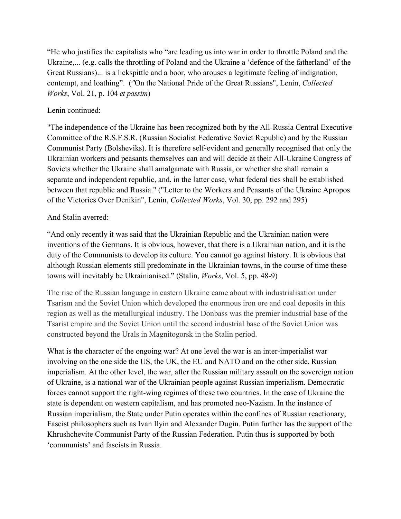"He who justifies the capitalists who "are leading us into war in order to throttle Poland and the Ukraine,... (e.g. calls the throttling of Poland and the Ukraine a 'defence of the fatherland' of the Great Russians)... is a lickspittle and a boor, who arouses a legitimate feeling of indignation, contempt, and loathing". (*"*On the National Pride of the Great Russians", Lenin, *Collected Works*, Vol. 21, p. 104 *et passim*)

### Lenin continued:

"The independence of the Ukraine has been recognized both by the All-Russia Central Executive Committee of the R.S.F.S.R. (Russian Socialist Federative Soviet Republic) and by the Russian Communist Party (Bolsheviks). It is therefore self-evident and generally recognised that only the Ukrainian workers and peasants themselves can and will decide at their All-Ukraine Congress of Soviets whether the Ukraine shall amalgamate with Russia, or whether she shall remain a separate and independent republic, and, in the latter case, what federal ties shall be established between that republic and Russia." ("Letter to the Workers and Peasants of the Ukraine Apropos of the Victories Over Denikin", Lenin, *Collected Works*, Vol. 30, pp. 292 and 295)

#### And Stalin averred:

"And only recently it was said that the Ukrainian Republic and the Ukrainian nation were inventions of the Germans. It is obvious, however, that there is a Ukrainian nation, and it is the duty of the Communists to develop its culture. You cannot go against history. It is obvious that although Russian elements still predominate in the Ukrainian towns, in the course of time these towns will inevitably be Ukrainianised." (Stalin, *Works*, Vol. 5, pp. 48-9)

The rise of the Russian language in eastern Ukraine came about with industrialisation under Tsarism and the Soviet Union which developed the enormous iron ore and coal deposits in this region as well as the metallurgical industry. The Donbass was the premier industrial base of the Tsarist empire and the Soviet Union until the second industrial base of the Soviet Union was constructed beyond the Urals in Magnitogorsk in the Stalin period.

What is the character of the ongoing war? At one level the war is an inter-imperialist war involving on the one side the US, the UK, the EU and NATO and on the other side, Russian imperialism. At the other level, the war, after the Russian military assault on the sovereign nation of Ukraine, is a national war of the Ukrainian people against Russian imperialism. Democratic forces cannot support the right-wing regimes of these two countries. In the case of Ukraine the state is dependent on western capitalism, and has promoted neo-Nazism. In the instance of Russian imperialism, the State under Putin operates within the confines of Russian reactionary, Fascist philosophers such as Ivan Ilyin and Alexander Dugin. Putin further has the support of the Khrushchevite Communist Party of the Russian Federation. Putin thus is supported by both 'communists' and fascists in Russia.